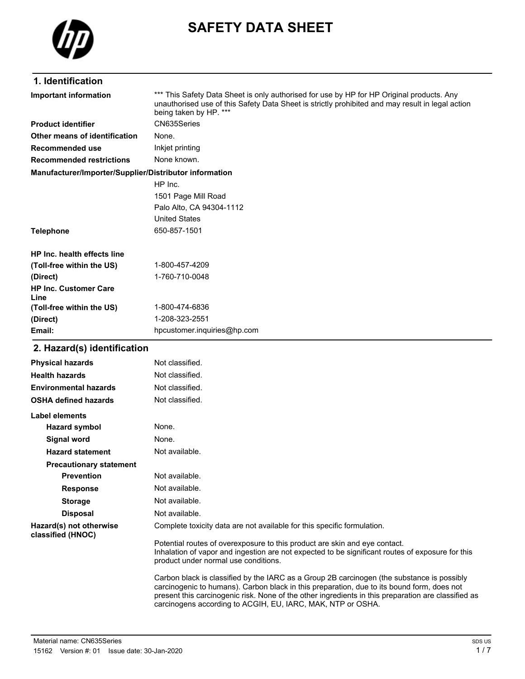

# **SAFETY DATA SHEET**

### **1. Identification**

| Important information                                  | *** This Safety Data Sheet is only authorised for use by HP for HP Original products. Any<br>unauthorised use of this Safety Data Sheet is strictly prohibited and may result in legal action<br>being taken by HP. *** |
|--------------------------------------------------------|-------------------------------------------------------------------------------------------------------------------------------------------------------------------------------------------------------------------------|
| <b>Product identifier</b>                              | CN635Series                                                                                                                                                                                                             |
| Other means of identification                          | None.                                                                                                                                                                                                                   |
| Recommended use                                        | Inkjet printing                                                                                                                                                                                                         |
| <b>Recommended restrictions</b>                        | None known.                                                                                                                                                                                                             |
| Manufacturer/Importer/Supplier/Distributor information |                                                                                                                                                                                                                         |
|                                                        | HP Inc.                                                                                                                                                                                                                 |
|                                                        | 1501 Page Mill Road                                                                                                                                                                                                     |
|                                                        | Palo Alto, CA 94304-1112                                                                                                                                                                                                |
|                                                        | <b>United States</b>                                                                                                                                                                                                    |
| <b>Telephone</b>                                       | 650-857-1501                                                                                                                                                                                                            |
| HP Inc. health effects line                            |                                                                                                                                                                                                                         |
| (Toll-free within the US)                              | 1-800-457-4209                                                                                                                                                                                                          |
| (Direct)                                               | 1-760-710-0048                                                                                                                                                                                                          |
| <b>HP Inc. Customer Care</b><br>Line                   |                                                                                                                                                                                                                         |
| (Toll-free within the US)                              | 1-800-474-6836                                                                                                                                                                                                          |
| (Direct)                                               | 1-208-323-2551                                                                                                                                                                                                          |
| Email:                                                 | hpcustomer.inguiries@hp.com                                                                                                                                                                                             |
| 2. Hazard(s) identification                            |                                                                                                                                                                                                                         |

#### **Physical hazards** Not classified. **Health hazards** Not classified. **Environmental hazards** Not classified. **OSHA defined hazards** Not classified. **Label elements Hazard symbol** None. **Signal word** None. Hazard statement Not available. **Precautionary statement Prevention** Not available. **Response** Not available. **Storage** Not available. **Disposal** Not available. **Hazard(s) not otherwise classified (HNOC)** Complete toxicity data are not available for this specific formulation. Potential routes of overexposure to this product are skin and eye contact. Inhalation of vapor and ingestion are not expected to be significant routes of exposure for this product under normal use conditions. Carbon black is classified by the IARC as a Group 2B carcinogen (the substance is possibly carcinogenic to humans). Carbon black in this preparation, due to its bound form, does not present this carcinogenic risk. None of the other ingredients in this preparation are classified as carcinogens according to ACGIH, EU, IARC, MAK, NTP or OSHA.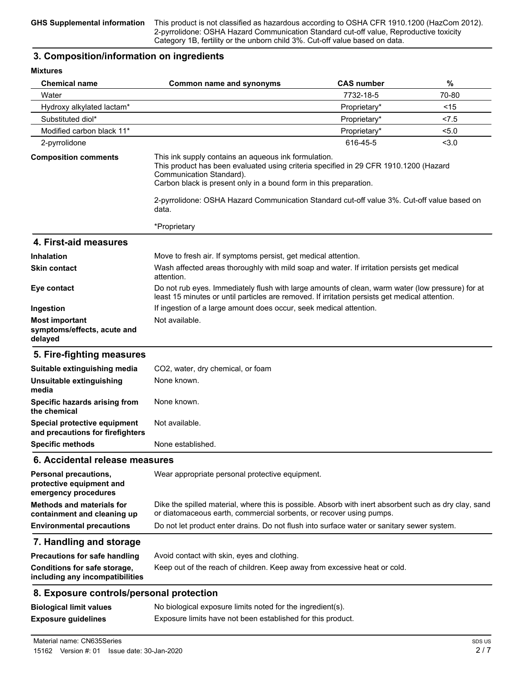**GHS Supplemental information** This product is not classified as hazardous according to OSHA CFR 1910.1200 (HazCom 2012). 2-pyrrolidone: OSHA Hazard Communication Standard cut-off value, Reproductive toxicity Category 1B, fertility or the unborn child 3%. Cut-off value based on data.

#### **3. Composition/information on ingredients**

**Mixtures**

| MITTALIS                                                                  |                                                                                                                                                                                                                                               |                   |        |  |
|---------------------------------------------------------------------------|-----------------------------------------------------------------------------------------------------------------------------------------------------------------------------------------------------------------------------------------------|-------------------|--------|--|
| <b>Chemical name</b>                                                      | Common name and synonyms                                                                                                                                                                                                                      | <b>CAS number</b> | %      |  |
| Water                                                                     |                                                                                                                                                                                                                                               | 7732-18-5         | 70-80  |  |
| Hydroxy alkylated lactam*                                                 |                                                                                                                                                                                                                                               | Proprietary*      | $<$ 15 |  |
| Substituted diol*                                                         |                                                                                                                                                                                                                                               | Proprietary*      | < 7.5  |  |
| Modified carbon black 11*                                                 |                                                                                                                                                                                                                                               | Proprietary*      | < 5.0  |  |
| 2-pyrrolidone                                                             |                                                                                                                                                                                                                                               | 616-45-5          | < 3.0  |  |
| <b>Composition comments</b>                                               | This ink supply contains an aqueous ink formulation.<br>This product has been evaluated using criteria specified in 29 CFR 1910.1200 (Hazard<br>Communication Standard).<br>Carbon black is present only in a bound form in this preparation. |                   |        |  |
|                                                                           | 2-pyrrolidone: OSHA Hazard Communication Standard cut-off value 3%. Cut-off value based on<br>data.                                                                                                                                           |                   |        |  |
|                                                                           | *Proprietary                                                                                                                                                                                                                                  |                   |        |  |
| 4. First-aid measures                                                     |                                                                                                                                                                                                                                               |                   |        |  |
| Inhalation                                                                | Move to fresh air. If symptoms persist, get medical attention.                                                                                                                                                                                |                   |        |  |
| <b>Skin contact</b>                                                       | Wash affected areas thoroughly with mild soap and water. If irritation persists get medical<br>attention.                                                                                                                                     |                   |        |  |
| Eye contact                                                               | Do not rub eyes. Immediately flush with large amounts of clean, warm water (low pressure) for at<br>least 15 minutes or until particles are removed. If irritation persists get medical attention.                                            |                   |        |  |
| Ingestion                                                                 | If ingestion of a large amount does occur, seek medical attention.                                                                                                                                                                            |                   |        |  |
| <b>Most important</b><br>symptoms/effects, acute and<br>delayed           | Not available.                                                                                                                                                                                                                                |                   |        |  |
| 5. Fire-fighting measures                                                 |                                                                                                                                                                                                                                               |                   |        |  |
| Suitable extinguishing media                                              | CO2, water, dry chemical, or foam                                                                                                                                                                                                             |                   |        |  |
| Unsuitable extinguishing<br>media                                         | None known.                                                                                                                                                                                                                                   |                   |        |  |
| Specific hazards arising from<br>the chemical                             | None known.                                                                                                                                                                                                                                   |                   |        |  |
| Special protective equipment<br>and precautions for firefighters          | Not available.                                                                                                                                                                                                                                |                   |        |  |
| <b>Specific methods</b>                                                   | None established.                                                                                                                                                                                                                             |                   |        |  |
| 6. Accidental release measures                                            |                                                                                                                                                                                                                                               |                   |        |  |
| Personal precautions,<br>protective equipment and<br>emergency procedures | Wear appropriate personal protective equipment.                                                                                                                                                                                               |                   |        |  |
| <b>Methods and materials for</b><br>containment and cleaning up           | Dike the spilled material, where this is possible. Absorb with inert absorbent such as dry clay, sand<br>or diatomaceous earth, commercial sorbents, or recover using pumps.                                                                  |                   |        |  |
| <b>Environmental precautions</b>                                          | Do not let product enter drains. Do not flush into surface water or sanitary sewer system.                                                                                                                                                    |                   |        |  |
| 7. Handling and storage                                                   |                                                                                                                                                                                                                                               |                   |        |  |
| <b>Precautions for safe handling</b>                                      | Avoid contact with skin, eyes and clothing.                                                                                                                                                                                                   |                   |        |  |
| Conditions for safe storage,<br>including any incompatibilities           | Keep out of the reach of children. Keep away from excessive heat or cold.                                                                                                                                                                     |                   |        |  |
| 8. Exposure controls/personal protection                                  |                                                                                                                                                                                                                                               |                   |        |  |
| <b>Biological limit values</b>                                            | No biological exposure limits noted for the ingredient(s).                                                                                                                                                                                    |                   |        |  |
| <b>Exposure guidelines</b>                                                | Exposure limits have not been established for this product.                                                                                                                                                                                   |                   |        |  |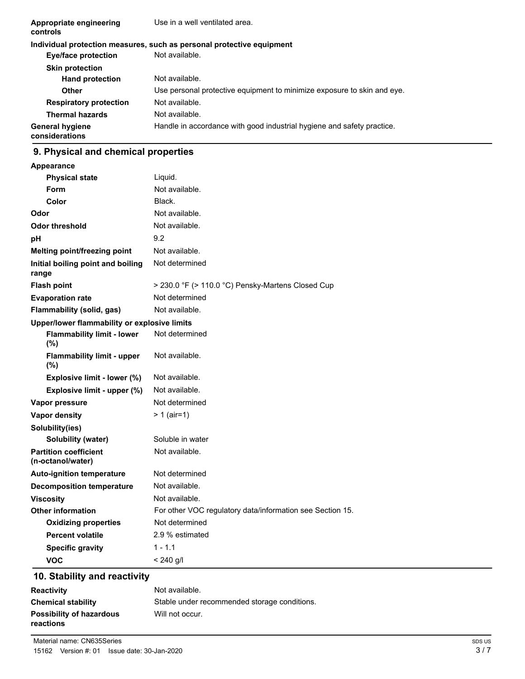| Appropriate engineering<br>controls      | Use in a well ventilated area.                                          |
|------------------------------------------|-------------------------------------------------------------------------|
|                                          | Individual protection measures, such as personal protective equipment   |
| Eye/face protection                      | Not available.                                                          |
| <b>Skin protection</b>                   |                                                                         |
| <b>Hand protection</b>                   | Not available.                                                          |
| <b>Other</b>                             | Use personal protective equipment to minimize exposure to skin and eye. |
| <b>Respiratory protection</b>            | Not available.                                                          |
| <b>Thermal hazards</b>                   | Not available.                                                          |
| <b>General hygiene</b><br>considerations | Handle in accordance with good industrial hygiene and safety practice.  |

# **9. Physical and chemical properties**

| Appearance                                        |                                                           |
|---------------------------------------------------|-----------------------------------------------------------|
| <b>Physical state</b>                             | Liquid.                                                   |
| Form                                              | Not available.                                            |
| Color                                             | Black.                                                    |
| Odor                                              | Not available.                                            |
| <b>Odor threshold</b>                             | Not available.                                            |
| рH                                                | 9.2                                                       |
| Melting point/freezing point                      | Not available.                                            |
| Initial boiling point and boiling<br>range        | Not determined                                            |
| <b>Flash point</b>                                | > 230.0 °F (> 110.0 °C) Pensky-Martens Closed Cup         |
| <b>Evaporation rate</b>                           | Not determined                                            |
| Flammability (solid, gas)                         | Not available.                                            |
| Upper/lower flammability or explosive limits      |                                                           |
| <b>Flammability limit - lower</b><br>(%)          | Not determined                                            |
| <b>Flammability limit - upper</b><br>(%)          | Not available.                                            |
| Explosive limit - lower (%)                       | Not available.                                            |
| Explosive limit - upper (%)                       | Not available.                                            |
| Vapor pressure                                    | Not determined                                            |
| Vapor density                                     | $> 1$ (air=1)                                             |
| Solubility(ies)                                   |                                                           |
| Solubility (water)                                | Soluble in water                                          |
| <b>Partition coefficient</b><br>(n-octanol/water) | Not available.                                            |
| <b>Auto-ignition temperature</b>                  | Not determined                                            |
| <b>Decomposition temperature</b>                  | Not available.                                            |
| <b>Viscosity</b>                                  | Not available.                                            |
| <b>Other information</b>                          | For other VOC regulatory data/information see Section 15. |
| <b>Oxidizing properties</b>                       | Not determined                                            |
| <b>Percent volatile</b>                           | 2.9 % estimated                                           |
| <b>Specific gravity</b>                           | $1 - 1.1$                                                 |
| <b>VOC</b>                                        | $< 240$ g/l                                               |

# **10. Stability and reactivity**

| <b>Reactivity</b>                            | Not available.                               |
|----------------------------------------------|----------------------------------------------|
| <b>Chemical stability</b>                    | Stable under recommended storage conditions. |
| <b>Possibility of hazardous</b><br>reactions | Will not occur.                              |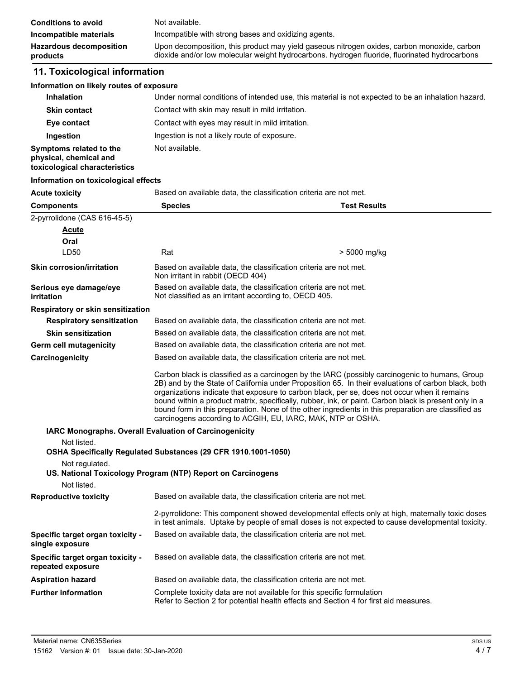| <b>Conditions to avoid</b>                 | Not available.                                                                                                                                                                               |
|--------------------------------------------|----------------------------------------------------------------------------------------------------------------------------------------------------------------------------------------------|
| Incompatible materials                     | Incompatible with strong bases and oxidizing agents.                                                                                                                                         |
| <b>Hazardous decomposition</b><br>products | Upon decomposition, this product may yield gaseous nitrogen oxides, carbon monoxide, carbon<br>dioxide and/or low molecular weight hydrocarbons. hydrogen fluoride, fluorinated hydrocarbons |

# **11. Toxicological information**

#### **Information on likely routes of exposure**

| <b>Inhalation</b>                                 | Under normal conditions of intended use, this material is not expected to be an inhalation hazard. |
|---------------------------------------------------|----------------------------------------------------------------------------------------------------|
| <b>Skin contact</b>                               | Contact with skin may result in mild irritation.                                                   |
| Eye contact                                       | Contact with eyes may result in mild irritation.                                                   |
| Ingestion                                         | Ingestion is not a likely route of exposure.                                                       |
| Symptoms related to the<br>physical, chemical and | Not available.                                                                                     |

**toxicological characteristics**

#### **Information on toxicological effects**

Acute toxicity **Based on available data, the classification criteria are not met.** 

| <b>Components</b>                                     | <b>Species</b>                                                                                                                                                  | <b>Test Results</b>                                                                                                                                                                                                                                                                                                                                                                                                                                                                                                   |
|-------------------------------------------------------|-----------------------------------------------------------------------------------------------------------------------------------------------------------------|-----------------------------------------------------------------------------------------------------------------------------------------------------------------------------------------------------------------------------------------------------------------------------------------------------------------------------------------------------------------------------------------------------------------------------------------------------------------------------------------------------------------------|
| 2-pyrrolidone (CAS 616-45-5)                          |                                                                                                                                                                 |                                                                                                                                                                                                                                                                                                                                                                                                                                                                                                                       |
| <b>Acute</b>                                          |                                                                                                                                                                 |                                                                                                                                                                                                                                                                                                                                                                                                                                                                                                                       |
| Oral                                                  |                                                                                                                                                                 |                                                                                                                                                                                                                                                                                                                                                                                                                                                                                                                       |
| LD50                                                  | Rat                                                                                                                                                             | > 5000 mg/kg                                                                                                                                                                                                                                                                                                                                                                                                                                                                                                          |
| <b>Skin corrosion/irritation</b>                      | Based on available data, the classification criteria are not met.<br>Non irritant in rabbit (OECD 404)                                                          |                                                                                                                                                                                                                                                                                                                                                                                                                                                                                                                       |
| Serious eye damage/eye<br>irritation                  | Based on available data, the classification criteria are not met.<br>Not classified as an irritant according to, OECD 405.                                      |                                                                                                                                                                                                                                                                                                                                                                                                                                                                                                                       |
| Respiratory or skin sensitization                     |                                                                                                                                                                 |                                                                                                                                                                                                                                                                                                                                                                                                                                                                                                                       |
| <b>Respiratory sensitization</b>                      | Based on available data, the classification criteria are not met.                                                                                               |                                                                                                                                                                                                                                                                                                                                                                                                                                                                                                                       |
| <b>Skin sensitization</b>                             | Based on available data, the classification criteria are not met.                                                                                               |                                                                                                                                                                                                                                                                                                                                                                                                                                                                                                                       |
| Germ cell mutagenicity                                | Based on available data, the classification criteria are not met.                                                                                               |                                                                                                                                                                                                                                                                                                                                                                                                                                                                                                                       |
| Carcinogenicity                                       | Based on available data, the classification criteria are not met.                                                                                               |                                                                                                                                                                                                                                                                                                                                                                                                                                                                                                                       |
|                                                       | carcinogens according to ACGIH, EU, IARC, MAK, NTP or OSHA.                                                                                                     | Carbon black is classified as a carcinogen by the IARC (possibly carcinogenic to humans, Group<br>2B) and by the State of California under Proposition 65. In their evaluations of carbon black, both<br>organizations indicate that exposure to carbon black, per se, does not occur when it remains<br>bound within a product matrix, specifically, rubber, ink, or paint. Carbon black is present only in a<br>bound form in this preparation. None of the other ingredients in this preparation are classified as |
|                                                       | IARC Monographs. Overall Evaluation of Carcinogenicity                                                                                                          |                                                                                                                                                                                                                                                                                                                                                                                                                                                                                                                       |
| Not listed.                                           | OSHA Specifically Regulated Substances (29 CFR 1910.1001-1050)                                                                                                  |                                                                                                                                                                                                                                                                                                                                                                                                                                                                                                                       |
| Not regulated.                                        | US. National Toxicology Program (NTP) Report on Carcinogens                                                                                                     |                                                                                                                                                                                                                                                                                                                                                                                                                                                                                                                       |
| Not listed.                                           |                                                                                                                                                                 |                                                                                                                                                                                                                                                                                                                                                                                                                                                                                                                       |
| <b>Reproductive toxicity</b>                          | Based on available data, the classification criteria are not met.                                                                                               |                                                                                                                                                                                                                                                                                                                                                                                                                                                                                                                       |
|                                                       |                                                                                                                                                                 | 2-pyrrolidone: This component showed developmental effects only at high, maternally toxic doses<br>in test animals. Uptake by people of small doses is not expected to cause developmental toxicity.                                                                                                                                                                                                                                                                                                                  |
| Specific target organ toxicity -<br>single exposure   | Based on available data, the classification criteria are not met.                                                                                               |                                                                                                                                                                                                                                                                                                                                                                                                                                                                                                                       |
| Specific target organ toxicity -<br>repeated exposure | Based on available data, the classification criteria are not met.                                                                                               |                                                                                                                                                                                                                                                                                                                                                                                                                                                                                                                       |
| <b>Aspiration hazard</b>                              | Based on available data, the classification criteria are not met.                                                                                               |                                                                                                                                                                                                                                                                                                                                                                                                                                                                                                                       |
| <b>Further information</b>                            | Complete toxicity data are not available for this specific formulation<br>Refer to Section 2 for potential health effects and Section 4 for first aid measures. |                                                                                                                                                                                                                                                                                                                                                                                                                                                                                                                       |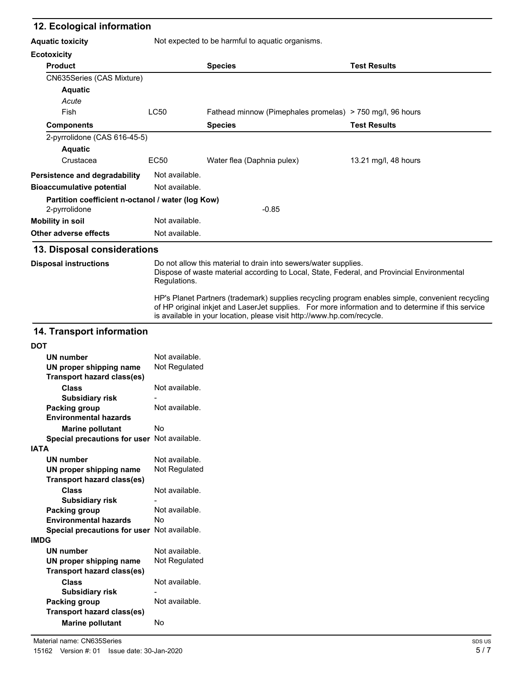#### **12. Ecological information**

| <b>Aquatic toxicity</b>                                            | Not expected to be harmful to aquatic organisms. |                                                           |                      |
|--------------------------------------------------------------------|--------------------------------------------------|-----------------------------------------------------------|----------------------|
| <b>Ecotoxicity</b>                                                 |                                                  |                                                           |                      |
| <b>Product</b>                                                     |                                                  | <b>Species</b>                                            | <b>Test Results</b>  |
| CN635Series (CAS Mixture)                                          |                                                  |                                                           |                      |
| <b>Aquatic</b>                                                     |                                                  |                                                           |                      |
| Acute                                                              |                                                  |                                                           |                      |
| Fish                                                               | LC50                                             | Fathead minnow (Pimephales promelas) > 750 mg/l, 96 hours |                      |
| <b>Components</b>                                                  |                                                  | <b>Species</b>                                            | <b>Test Results</b>  |
| 2-pyrrolidone (CAS 616-45-5)                                       |                                                  |                                                           |                      |
| <b>Aquatic</b>                                                     |                                                  |                                                           |                      |
| Crustacea                                                          | EC50                                             | Water flea (Daphnia pulex)                                | 13.21 mg/l, 48 hours |
| Persistence and degradability                                      | Not available.                                   |                                                           |                      |
| <b>Bioaccumulative potential</b>                                   | Not available.                                   |                                                           |                      |
| Partition coefficient n-octanol / water (log Kow)<br>2-pyrrolidone |                                                  | $-0.85$                                                   |                      |
| <b>Mobility in soil</b>                                            | Not available.                                   |                                                           |                      |
| <b>Other adverse effects</b>                                       | Not available.                                   |                                                           |                      |

#### **13. Disposal considerations**

**Disposal instructions**

Do not allow this material to drain into sewers/water supplies. Dispose of waste material according to Local, State, Federal, and Provincial Environmental Regulations. HP's Planet Partners (trademark) supplies recycling program enables simple, convenient recycling

of HP original inkjet and LaserJet supplies. For more information and to determine if this service is available in your location, please visit http://www.hp.com/recycle.

## **14. Transport information**

| UN number                                   | Not available. |
|---------------------------------------------|----------------|
| UN proper shipping name                     | Not Regulated  |
| <b>Transport hazard class(es)</b>           |                |
| Class                                       | Not available. |
| Subsidiary risk                             |                |
| <b>Packing group</b>                        | Not available. |
| <b>Environmental hazards</b>                |                |
| <b>Marine pollutant</b>                     | No             |
| Special precautions for user                | Not available. |
| <b>IATA</b>                                 |                |
| UN number                                   | Not available. |
| UN proper shipping name                     | Not Regulated  |
| <b>Transport hazard class(es)</b>           |                |
| Class                                       | Not available. |
| <b>Subsidiary risk</b>                      |                |
| <b>Packing group</b>                        | Not available. |
| <b>Environmental hazards</b>                |                |
|                                             | N٥             |
| Special precautions for user Not available. |                |
| <b>IMDG</b>                                 |                |
| UN number                                   | Not available. |
| UN proper shipping name                     | Not Regulated  |
| <b>Transport hazard class(es)</b>           |                |
| Class                                       | Not available. |
| Subsidiary risk                             |                |
| Packing group                               | Not available. |
| <b>Transport hazard class(es)</b>           |                |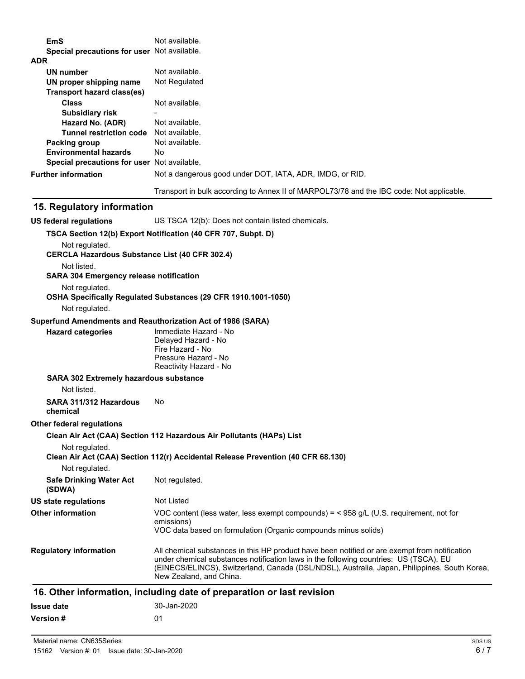| <b>EmS</b>                                                              | Not available.                                                                                                          |
|-------------------------------------------------------------------------|-------------------------------------------------------------------------------------------------------------------------|
| Special precautions for user Not available.<br><b>ADR</b>               |                                                                                                                         |
| UN number                                                               | Not available.                                                                                                          |
| UN proper shipping name                                                 | Not Regulated                                                                                                           |
| <b>Transport hazard class(es)</b>                                       |                                                                                                                         |
| <b>Class</b>                                                            | Not available.                                                                                                          |
| <b>Subsidiary risk</b>                                                  |                                                                                                                         |
| Hazard No. (ADR)                                                        | Not available.                                                                                                          |
| Tunnel restriction code Not available.                                  |                                                                                                                         |
| Packing group                                                           | Not available.                                                                                                          |
| <b>Environmental hazards</b>                                            | No.                                                                                                                     |
| Special precautions for user Not available.                             |                                                                                                                         |
| <b>Further information</b>                                              | Not a dangerous good under DOT, IATA, ADR, IMDG, or RID.                                                                |
|                                                                         | Transport in bulk according to Annex II of MARPOL73/78 and the IBC code: Not applicable.                                |
| 15. Regulatory information                                              |                                                                                                                         |
| <b>US federal regulations</b>                                           | US TSCA 12(b): Does not contain listed chemicals.                                                                       |
|                                                                         | TSCA Section 12(b) Export Notification (40 CFR 707, Subpt. D)                                                           |
| Not regulated.<br><b>CERCLA Hazardous Substance List (40 CFR 302.4)</b> |                                                                                                                         |
| Not listed.                                                             |                                                                                                                         |
| <b>SARA 304 Emergency release notification</b>                          |                                                                                                                         |
| Not regulated.                                                          |                                                                                                                         |
|                                                                         | OSHA Specifically Regulated Substances (29 CFR 1910.1001-1050)                                                          |
| Not regulated.                                                          |                                                                                                                         |
| Superfund Amendments and Reauthorization Act of 1986 (SARA)             |                                                                                                                         |
| <b>Hazard categories</b>                                                | Immediate Hazard - No<br>Delayed Hazard - No                                                                            |
|                                                                         | Fire Hazard - No                                                                                                        |
|                                                                         | Pressure Hazard - No                                                                                                    |
|                                                                         | Reactivity Hazard - No                                                                                                  |
| SARA 302 Extremely hazardous substance                                  |                                                                                                                         |
| Not listed.                                                             |                                                                                                                         |
| SARA 311/312 Hazardous<br>chemical                                      | No.                                                                                                                     |
| Other federal regulations                                               |                                                                                                                         |
|                                                                         | Clean Air Act (CAA) Section 112 Hazardous Air Pollutants (HAPs) List                                                    |
| Not regulated.                                                          | Clean Air Act (CAA) Section 112(r) Accidental Release Prevention (40 CFR 68.130)                                        |
| Not regulated.                                                          |                                                                                                                         |
| <b>Safe Drinking Water Act</b><br>(SDWA)                                | Not regulated.                                                                                                          |
| <b>US state regulations</b>                                             | Not Listed                                                                                                              |
| <b>Other information</b>                                                | VOC content (less water, less exempt compounds) = $<$ 958 g/L (U.S. requirement, not for                                |
|                                                                         | emissions)<br>VOC data based on formulation (Organic compounds minus solids)                                            |
|                                                                         |                                                                                                                         |
| <b>Regulatory information</b>                                           | All chemical substances in this HP product have been notified or are exempt from notification                           |
|                                                                         | under chemical substances notification laws in the following countries: US (TSCA), EU                                   |
|                                                                         | (EINECS/ELINCS), Switzerland, Canada (DSL/NDSL), Australia, Japan, Philippines, South Korea,<br>New Zealand, and China. |
|                                                                         |                                                                                                                         |
|                                                                         | 16. Other information, including date of preparation or last revision                                                   |